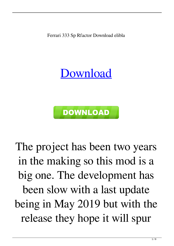Ferrari 333 Sp Rfactor Download elibla

[Download](http://evacdir.com/backhealthpro/atwin/oozed.guan.ZmVycmFyaSAzMzMgc3AgcmZhY3RvciBkb3dubG9hZAZmV.jarmon/slimness?superstar=ZG93bmxvYWR8bFc4ZW5Kb2ZId3hOalV5TkRZek1EVXdmSHd5TlRjMGZId29UU2tnY21WaFpDMWliRzluSUZ0R1lYTjBJRWRGVGww)



The project has been two years in the making so this mod is a big one. The development has been slow with a last update being in May 2019 but with the release they hope it will spur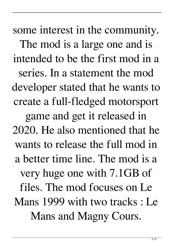some interest in the community. The mod is a large one and is intended to be the first mod in a series. In a statement the mod developer stated that he wants to create a full-fledged motorsport game and get it released in 2020. He also mentioned that he wants to release the full mod in a better time line. The mod is a very huge one with 7.1GB of files. The mod focuses on Le Mans 1999 with two tracks : Le Mans and Magny Cours.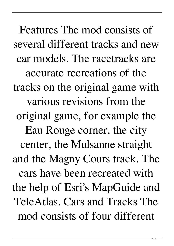Features The mod consists of several different tracks and new car models. The racetracks are accurate recreations of the tracks on the original game with various revisions from the original game, for example the Eau Rouge corner, the city center, the Mulsanne straight and the Magny Cours track. The cars have been recreated with the help of Esri's MapGuide and TeleAtlas. Cars and Tracks The mod consists of four different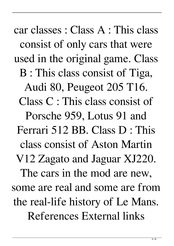car classes : Class A : This class consist of only cars that were used in the original game. Class B : This class consist of Tiga, Audi 80, Peugeot 205 T16. Class C : This class consist of Porsche 959, Lotus 91 and Ferrari 512 BB. Class D : This class consist of Aston Martin V12 Zagato and Jaguar XJ220. The cars in the mod are new, some are real and some are from the real-life history of Le Mans. References External links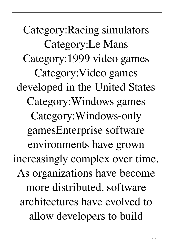Category:Racing simulators Category:Le Mans Category:1999 video games Category:Video games developed in the United States Category:Windows games Category:Windows-only gamesEnterprise software environments have grown increasingly complex over time. As organizations have become more distributed, software architectures have evolved to allow developers to build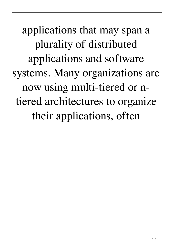applications that may span a plurality of distributed applications and software systems. Many organizations are now using multi-tiered or ntiered architectures to organize their applications, often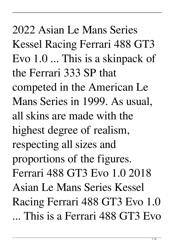2022 Asian Le Mans Series Kessel Racing Ferrari 488 GT3 Evo 1.0 ... This is a skinpack of the Ferrari 333 SP that competed in the American Le Mans Series in 1999. As usual, all skins are made with the highest degree of realism, respecting all sizes and proportions of the figures. Ferrari 488 GT3 Evo 1.0 2018 Asian Le Mans Series Kessel Racing Ferrari 488 GT3 Evo 1.0 ... This is a Ferrari 488 GT3 Evo